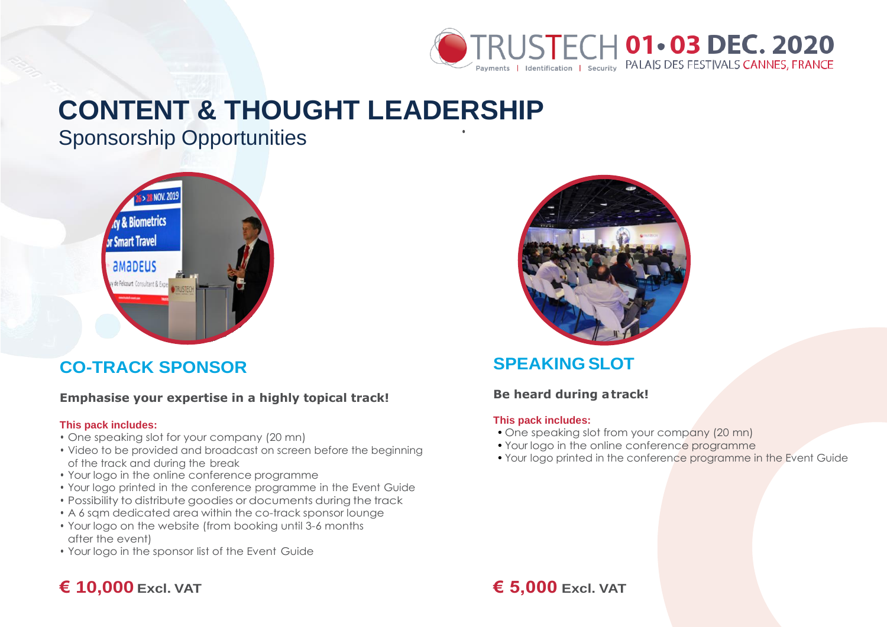

# **CONTENT & THOUGHT LEADERSHIP**

Sponsorship Opportunities



# **CO-TRACK SPONSOR**

#### **Emphasise your expertise in a highly topical track!**

#### **This pack includes:**

- One speaking slot for your company (20 mn)
- Video to be provided and broadcast on screen before the beginning of the track and during the break
- Your logo in the online conference programme
- Your logo printed in the conference programme in the Event Guide
- Possibility to distribute goodies or documents during the track
- A 6 sqm dedicated area within the co-track sponsor lounge
- Your logo on the website (from booking until 3-6 months after the event)
- Your logo in the sponsor list of the Event Guide



# **SPEAKING SLOT**

### **Be heard during atrack!**

#### **This pack includes:**

•

- One speaking slot from your company (20 mn)
- Your logo in the online conference programme
- Your logo printed in the conference programme in the Event Guide

# **€ 10,000 Excl. VAT € 5,000 Excl. VAT**